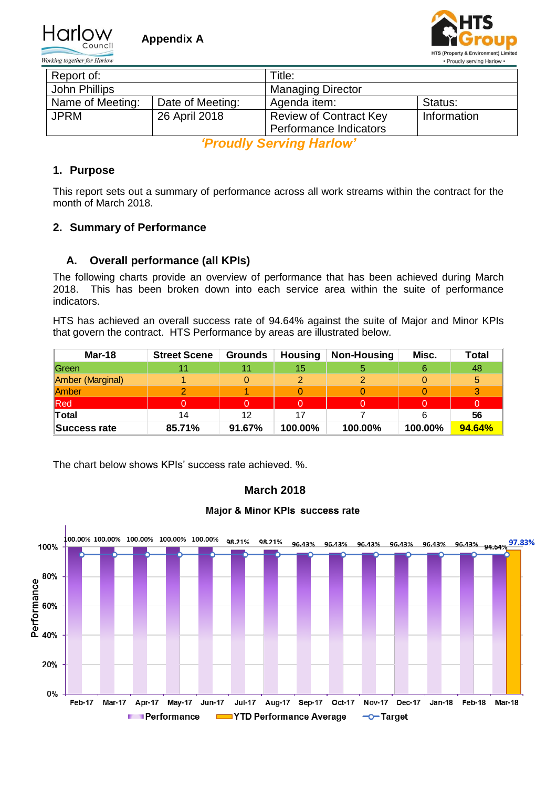

Working together for Harlow



| Report of:       |                  | Title:                        |             |  |  |
|------------------|------------------|-------------------------------|-------------|--|--|
| John Phillips    |                  | <b>Managing Director</b>      |             |  |  |
| Name of Meeting: | Date of Meeting: | Agenda item:                  | Status:     |  |  |
| <b>JPRM</b>      | 26 April 2018    | <b>Review of Contract Key</b> | Information |  |  |
|                  |                  | Performance Indicators        |             |  |  |

*'Proudly Serving Harlow'*

## **1. Purpose**

This report sets out a summary of performance across all work streams within the contract for the month of March 2018.

## **2. Summary of Performance**

## **A. Overall performance (all KPIs)**

The following charts provide an overview of performance that has been achieved during March 2018. This has been broken down into each service area within the suite of performance indicators.

HTS has achieved an overall success rate of 94.64% against the suite of Major and Minor KPIs that govern the contract. HTS Performance by areas are illustrated below.

| Mar-18           | <b>Street Scene</b> | Grounds | <b>Housing</b> | Non-Housing | Misc.   | <b>Total</b> |
|------------------|---------------------|---------|----------------|-------------|---------|--------------|
| Green            |                     |         | 15             |             |         | 48           |
| Amber (Marginal) |                     |         |                |             |         | 5            |
| Amber            |                     |         |                |             |         |              |
| Red              |                     |         |                |             |         |              |
| Total            |                     | 12      |                |             |         | 56           |
| Success rate     | 85.71%              | 91.67%  | 100.00%        | 100.00%     | 100.00% | 94.64%       |

The chart below shows KPIs' success rate achieved. %.



# **March 2018**

#### Major & Minor KPIs success rate